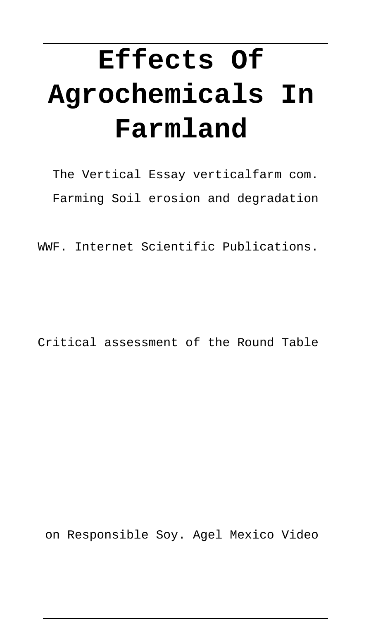# **Effects Of Agrochemicals In Farmland**

The Vertical Essay verticalfarm com. Farming Soil erosion and degradation

WWF. Internet Scientific Publications.

Critical assessment of the Round Table

on Responsible Soy. Agel Mexico Video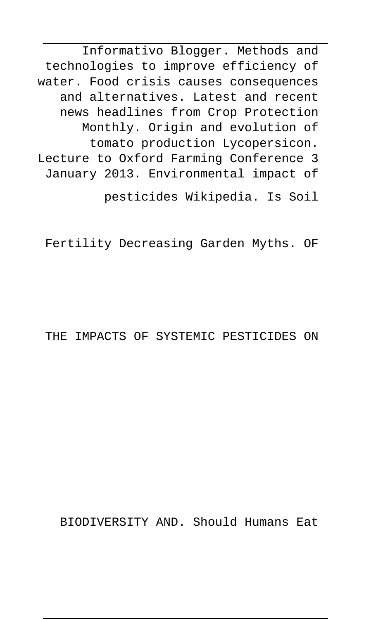Informativo Blogger. Methods and technologies to improve efficiency of water. Food crisis causes consequences and alternatives. Latest and recent news headlines from Crop Protection Monthly. Origin and evolution of tomato production Lycopersicon. Lecture to Oxford Farming Conference 3 January 2013. Environmental impact of

pesticides Wikipedia. Is Soil

Fertility Decreasing Garden Myths. OF

#### THE IMPACTS OF SYSTEMIC PESTICIDES ON

BIODIVERSITY AND. Should Humans Eat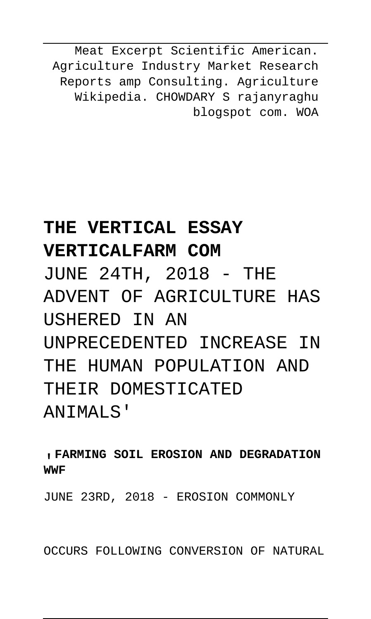Meat Excerpt Scientific American. Agriculture Industry Market Research Reports amp Consulting. Agriculture Wikipedia. CHOWDARY S rajanyraghu blogspot com. WOA

# **THE VERTICAL ESSAY**

#### **VERTICALFARM COM**

JUNE 24TH, 2018 - THE ADVENT OF AGRICULTURE HAS USHERED IN AN UNPRECEDENTED INCREASE IN THE HUMAN POPULATION AND THEIR DOMESTICATED ANTMALS'

#### '**FARMING SOIL EROSION AND DEGRADATION WWF**

JUNE 23RD, 2018 - EROSION COMMONLY

OCCURS FOLLOWING CONVERSION OF NATURAL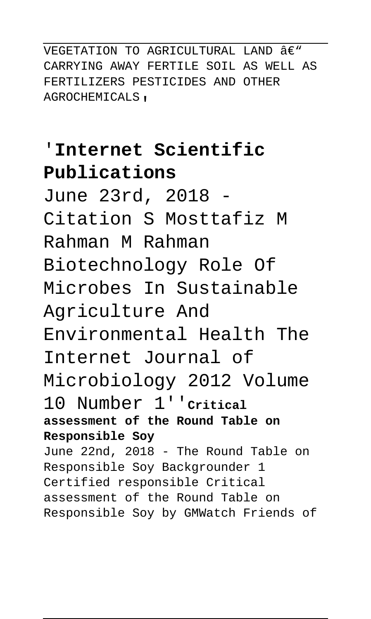VEGETATION TO AGRICULTURAL LAND  $A\in W$ CARRYING AWAY FERTILE SOIL AS WELL AS FERTILIZERS PESTICIDES AND OTHER AGROCHEMICALS'

# '**Internet Scientific Publications**

June 23rd, 2018 - Citation S Mosttafiz M Rahman M Rahman Biotechnology Role Of Microbes In Sustainable Agriculture And Environmental Health The Internet Journal of Microbiology 2012 Volume 10 Number 1''**Critical assessment of the Round Table on Responsible Soy** June 22nd, 2018 - The Round Table on Responsible Soy Backgrounder 1 Certified responsible Critical assessment of the Round Table on Responsible Soy by GMWatch Friends of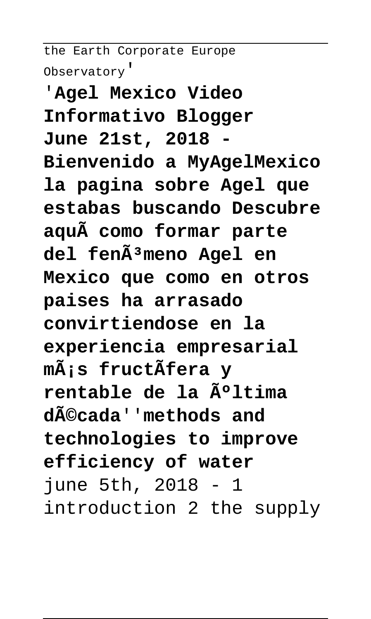the Earth Corporate Europe Observatory'

'**Agel Mexico Video Informativo Blogger June 21st, 2018 - Bienvenido a MyAgelMexico la pagina sobre Agel que estabas buscando Descubre aquà como formar parte** del fenÃ<sup>3</sup>meno Agel en **Mexico que como en otros paises ha arrasado convirtiendose en la experiencia empresarial más fructÃfera y rentable de la última década**''**methods and technologies to improve efficiency of water** june 5th, 2018 - 1 introduction 2 the supply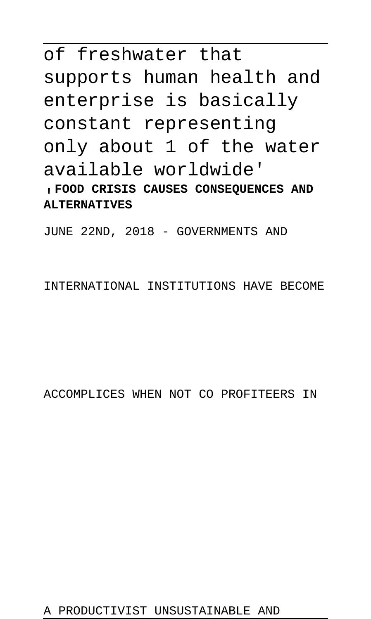# of freshwater that supports human health and enterprise is basically constant representing only about 1 of the water available worldwide'

'**FOOD CRISIS CAUSES CONSEQUENCES AND ALTERNATIVES**

JUNE 22ND, 2018 - GOVERNMENTS AND

INTERNATIONAL INSTITUTIONS HAVE BECOME

ACCOMPLICES WHEN NOT CO PROFITEERS IN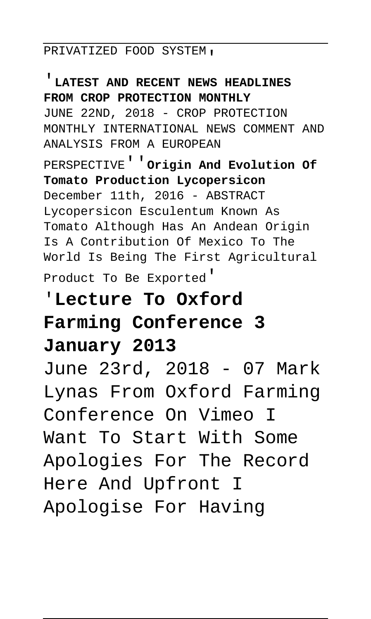#### PRIVATIZED FOOD SYSTEM,

'**LATEST AND RECENT NEWS HEADLINES FROM CROP PROTECTION MONTHLY** JUNE 22ND, 2018 - CROP PROTECTION MONTHLY INTERNATIONAL NEWS COMMENT AND ANALYSIS FROM A EUROPEAN PERSPECTIVE''**Origin And Evolution Of Tomato Production Lycopersicon** December 11th, 2016 - ABSTRACT Lycopersicon Esculentum Known As Tomato Although Has An Andean Origin Is A Contribution Of Mexico To The World Is Being The First Agricultural Product To Be Exported'

## '**Lecture To Oxford Farming Conference 3 January 2013**

June 23rd, 2018 - 07 Mark Lynas From Oxford Farming Conference On Vimeo I Want To Start With Some Apologies For The Record Here And Upfront I Apologise For Having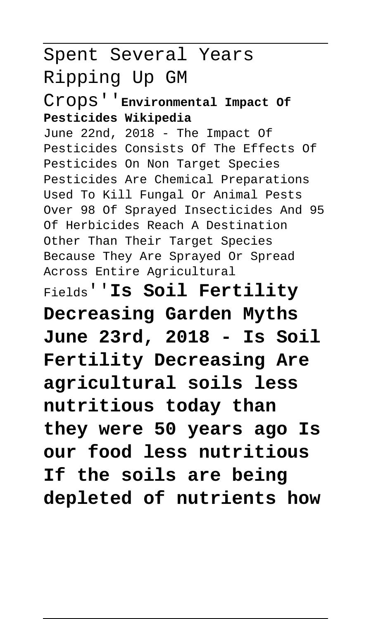# Spent Several Years Ripping Up GM

Crops''**Environmental Impact Of Pesticides Wikipedia**

June 22nd, 2018 - The Impact Of Pesticides Consists Of The Effects Of Pesticides On Non Target Species Pesticides Are Chemical Preparations Used To Kill Fungal Or Animal Pests Over 98 Of Sprayed Insecticides And 95 Of Herbicides Reach A Destination Other Than Their Target Species Because They Are Sprayed Or Spread Across Entire Agricultural

Fields''**Is Soil Fertility Decreasing Garden Myths June 23rd, 2018 - Is Soil Fertility Decreasing Are agricultural soils less nutritious today than they were 50 years ago Is our food less nutritious If the soils are being depleted of nutrients how**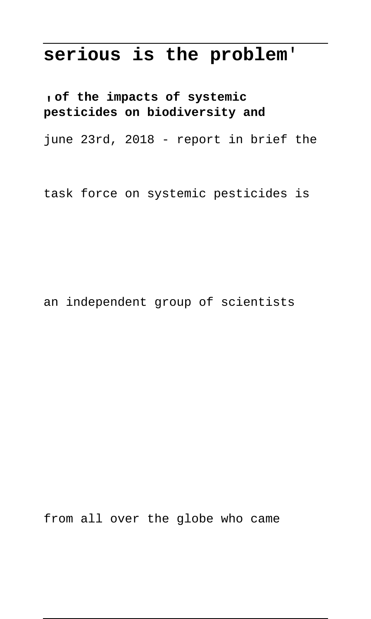### **serious is the problem**'

'**of the impacts of systemic pesticides on biodiversity and**

june 23rd, 2018 - report in brief the

task force on systemic pesticides is

an independent group of scientists

from all over the globe who came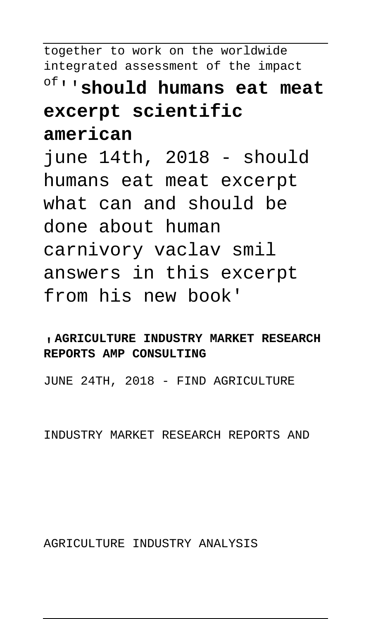together to work on the worldwide integrated assessment of the impact of''**should humans eat meat excerpt scientific american** june 14th, 2018 - should humans eat meat excerpt what can and should be done about human carnivory vaclav smil answers in this excerpt from his new book'

#### '**AGRICULTURE INDUSTRY MARKET RESEARCH REPORTS AMP CONSULTING**

JUNE 24TH, 2018 - FIND AGRICULTURE

INDUSTRY MARKET RESEARCH REPORTS AND

AGRICULTURE INDUSTRY ANALYSIS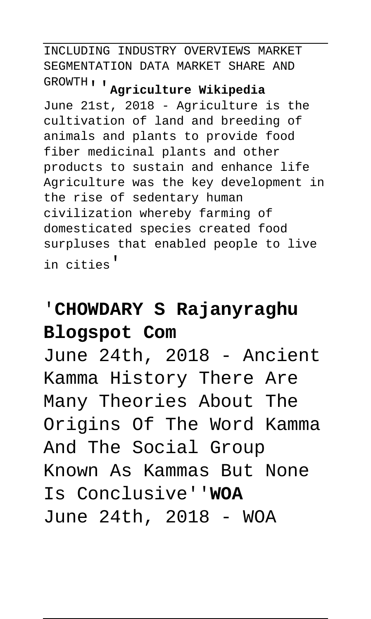INCLUDING INDUSTRY OVERVIEWS MARKET SEGMENTATION DATA MARKET SHARE AND GROWTH''**Agriculture Wikipedia**

June 21st, 2018 - Agriculture is the cultivation of land and breeding of animals and plants to provide food fiber medicinal plants and other products to sustain and enhance life Agriculture was the key development in the rise of sedentary human civilization whereby farming of domesticated species created food surpluses that enabled people to live in cities'

## '**CHOWDARY S Rajanyraghu Blogspot Com**

June 24th, 2018 - Ancient Kamma History There Are Many Theories About The Origins Of The Word Kamma And The Social Group Known As Kammas But None Is Conclusive''**WOA** June 24th, 2018 - WOA